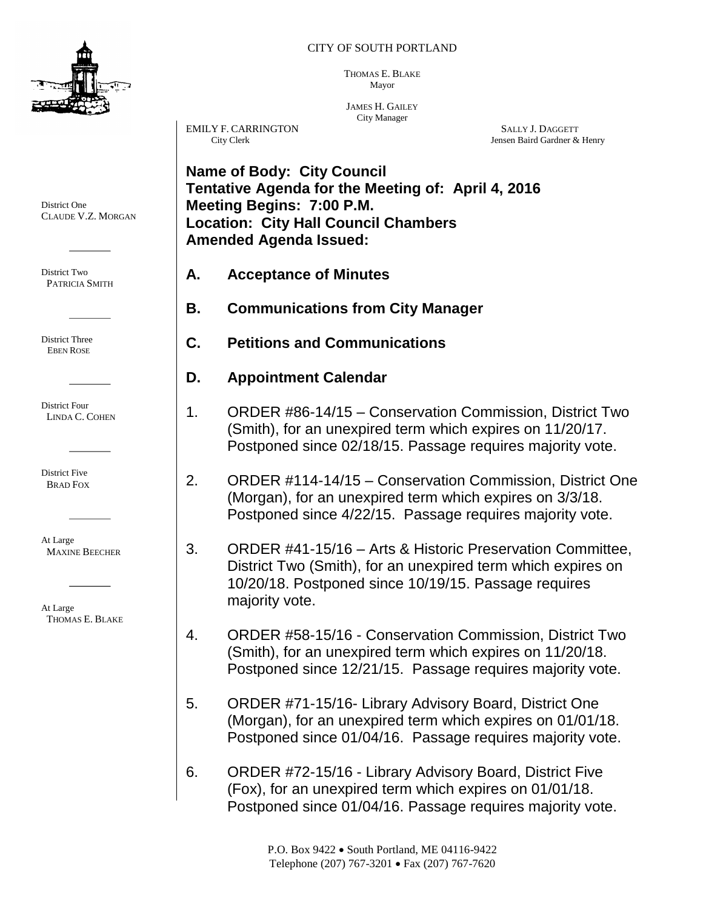

#### CITY OF SOUTH PORTLAND

THOMAS E. BLAKE Mayor

JAMES H. GAILEY City Manager

EMILY F. CARRINGTON SALLY J. DAGGETT City Clerk (Stephan of the Stephan of the Stephan of the Stephan of the Stephan of the Stephan of the Stephan of the Stephan of the Stephan of the Stephan of the Stephan of the Stephan

Jensen Baird Gardner & Henry

**Name of Body: City Council Tentative Agenda for the Meeting of: April 4, 2016 Meeting Begins: 7:00 P.M. Location: City Hall Council Chambers Amended Agenda Issued:** 

- **A. Acceptance of Minutes**
- **B. Communications from City Manager**
- **C. Petitions and Communications**
- **D. Appointment Calendar**
- 1. ORDER #86-14/15 Conservation Commission, District Two (Smith), for an unexpired term which expires on 11/20/17. Postponed since 02/18/15. Passage requires majority vote.
- 2. ORDER #114-14/15 Conservation Commission, District One (Morgan), for an unexpired term which expires on 3/3/18. Postponed since 4/22/15. Passage requires majority vote.
- 3. ORDER #41-15/16 Arts & Historic Preservation Committee, District Two (Smith), for an unexpired term which expires on 10/20/18. Postponed since 10/19/15. Passage requires majority vote.
- 4. ORDER #58-15/16 Conservation Commission, District Two (Smith), for an unexpired term which expires on 11/20/18. Postponed since 12/21/15. Passage requires majority vote.
- 5. ORDER #71-15/16- Library Advisory Board, District One (Morgan), for an unexpired term which expires on 01/01/18. Postponed since 01/04/16. Passage requires majority vote.
- 6. ORDER #72-15/16 Library Advisory Board, District Five (Fox), for an unexpired term which expires on 01/01/18. Postponed since 01/04/16. Passage requires majority vote.

District One CLAUDE V.Z. MORGAN

District Two PATRICIA SMITH

District Three EBEN ROSE

District Four LINDA C. COHEN

District Five BRAD FOX

At Large MAXINE BEECHER

At Large THOMAS E. BLAKE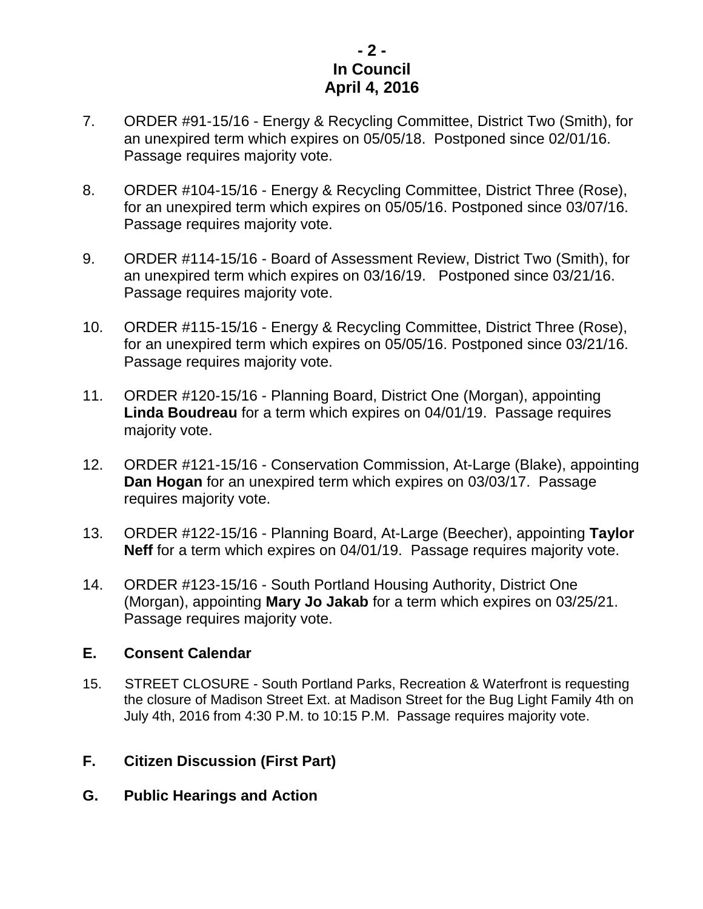# **- 2 - In Council April 4, 2016**

- 7. ORDER #91-15/16 Energy & Recycling Committee, District Two (Smith), for an unexpired term which expires on 05/05/18. Postponed since 02/01/16. Passage requires majority vote.
- 8. ORDER #104-15/16 Energy & Recycling Committee, District Three (Rose), for an unexpired term which expires on 05/05/16. Postponed since 03/07/16. Passage requires majority vote.
- 9. ORDER #114-15/16 Board of Assessment Review, District Two (Smith), for an unexpired term which expires on 03/16/19. Postponed since 03/21/16. Passage requires majority vote.
- 10. ORDER #115-15/16 Energy & Recycling Committee, District Three (Rose), for an unexpired term which expires on 05/05/16. Postponed since 03/21/16. Passage requires majority vote.
- 11. ORDER #120-15/16 Planning Board, District One (Morgan), appointing **Linda Boudreau** for a term which expires on 04/01/19. Passage requires majority vote.
- 12. ORDER #121-15/16 Conservation Commission, At-Large (Blake), appointing **Dan Hogan** for an unexpired term which expires on 03/03/17. Passage requires majority vote.
- 13. ORDER #122-15/16 Planning Board, At-Large (Beecher), appointing **Taylor Neff** for a term which expires on 04/01/19. Passage requires majority vote.
- 14. ORDER #123-15/16 South Portland Housing Authority, District One (Morgan), appointing **Mary Jo Jakab** for a term which expires on 03/25/21. Passage requires majority vote.

## **E. Consent Calendar**

15. STREET CLOSURE - South Portland Parks, Recreation & Waterfront is requesting the closure of Madison Street Ext. at Madison Street for the Bug Light Family 4th on July 4th, 2016 from 4:30 P.M. to 10:15 P.M. Passage requires majority vote.

# **F. Citizen Discussion (First Part)**

**G. Public Hearings and Action**